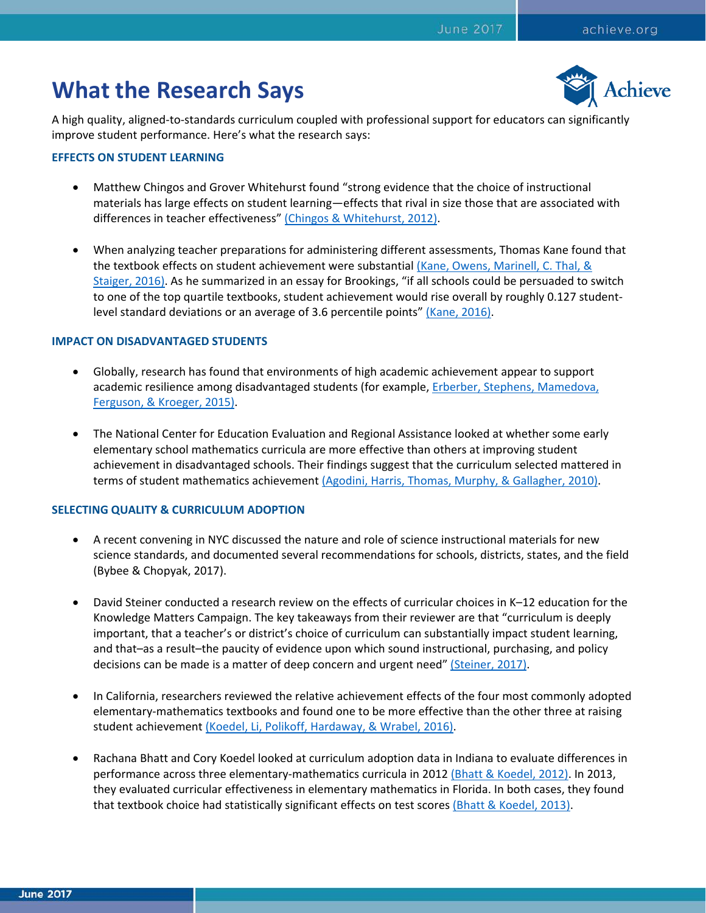# **What the Research Says**



A high quality, aligned-to-standards curriculum coupled with professional support for educators can significantly improve student performance. Here's what the research says:

## **EFFECTS ON STUDENT LEARNING**

- Matthew Chingos and Grover Whitehurst found "strong evidence that the choice of instructional materials has large effects on student learning—effects that rival in size those that are associated with differences in teacher effectiveness" [\(Chingos & Whitehurst, 2012\).](https://www.brookings.edu/research/choosing-blindly-instructional-materials-teacher-effectiveness-and-the-common-core/)
- When analyzing teacher preparations for administering different assessments, Thomas Kane found that the textbook effects on student achievement were substantial (Kane, Owens, Marinell, C. Thal, & [Staiger, 2016\).](http://cepr.harvard.edu/files/cepr/files/teaching-higher-report.pdf) As he summarized in an essay for Brookings, "if all schools could be persuaded to switch to one of the top quartile textbooks, student achievement would rise overall by roughly 0.127 student-level standard deviations or an average of 3.6 percentile points" [\(Kane, 2016\).](https://www.brookings.edu/research/never-judge-a-book-by-its-cover-use-student-achievement-instead/)

# **IMPACT ON DISADVANTAGED STUDENTS**

- Globally, research has found that environments of high academic achievement appear to support academic resilience among disadvantaged students (for example, [Erberber, Stephens, Mamedova,](http://www.iea.nl/fileadmin/user_upload/Policy_Briefs/IEA_policy_brief_Mar2015.pdf)  [Ferguson, & Kroeger, 2015\).](http://www.iea.nl/fileadmin/user_upload/Policy_Briefs/IEA_policy_brief_Mar2015.pdf)
- The National Center for Education Evaluation and Regional Assistance looked at whether some early elementary school mathematics curricula are more effective than others at improving student achievement in disadvantaged schools. Their findings suggest that the curriculum selected mattered in terms of student mathematics achievement [\(Agodini, Harris, Thomas, Murphy, & Gallagher, 2010\).](https://eric.ed.gov/?id=ED512551)

## **SELECTING QUALITY & CURRICULUM ADOPTION**

- A recent convening in NYC discussed the nature and role of science instructional materials for new science standards, and documented several recommendations for schools, districts, states, and the field (Bybee & Chopyak, 2017).
- David Steiner conducted a research review on the effects of curricular choices in K–12 education for the Knowledge Matters Campaign. The key takeaways from their reviewer are that "curriculum is deeply important, that a teacher's or district's choice of curriculum can substantially impact student learning, and that–as a result–the paucity of evidence upon which sound instructional, purchasing, and policy decisions can be made is a matter of deep concern and urgent need" [\(Steiner, 2017\).](https://standardswork.org/wp-content/uploads/2017/03/sw-curriculum-research-report-fnl.pdf)
- In California, researchers reviewed the relative achievement effects of the four most commonly adopted elementary-mathematics textbooks and found one to be more effective than the other three at raising student achievement [\(Koedel, Li, Polikoff, Hardaway, & Wrabel, 2016\).](https://economics.missouri.edu/sites/default/files/wp-files/cacur_wporig_v1.pdf)
- Rachana Bhatt and Cory Koedel looked at curriculum adoption data in Indiana to evaluate differences in performance across three elementary-mathematics curricula in 2012 [\(Bhatt & Koedel, 2012\).](http://journals.sagepub.com/doi/abs/10.3102/0162373712440040) In 2013, they evaluated curricular effectiveness in elementary mathematics in Florida. In both cases, they found that textbook choice had statistically significant effects on test scores [\(Bhatt & Koedel, 2013\).](http://www.sciencedirect.com/science/article/pii/S0272775713000277)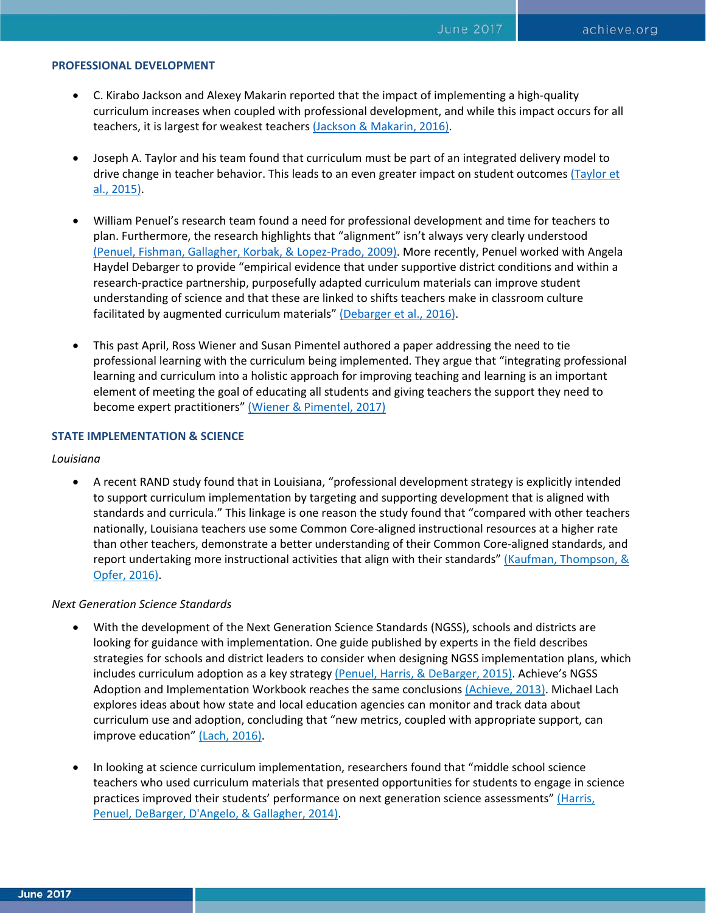### **PROFESSIONAL DEVELOPMENT**

- C. Kirabo Jackson and Alexey Makarin reported that the impact of implementing a high-quality curriculum increases when coupled with professional development, and while this impact occurs for all teachers, it is largest for weakest teachers [\(Jackson & Makarin, 2016\).](http://www.nber.org/papers/w22398)
- Joseph A. Taylor and his team found that curriculum must be part of an integrated delivery model to drive change in teacher behavior. This leads to an even greater impact on student outcomes [\(Taylor et](https://www.researchgate.net/publication/275952581_An_Efficacy_Trial_of_Research-Based_Curriculum_Materials_With_Curriculum-Based_Professional_Development)  [al., 2015\).](https://www.researchgate.net/publication/275952581_An_Efficacy_Trial_of_Research-Based_Curriculum_Materials_With_Curriculum-Based_Professional_Development)
- William Penuel's research team found a need for professional development and time for teachers to plan. Furthermore, the research highlights that "alignment" isn't always very clearly understood [\(Penuel, Fishman, Gallagher, Korbak, & Lopez-Prado, 2009\).](http://onlinelibrary.wiley.com/doi/10.1002/sce.20321/abstract;jsessionid=83D2732BB63199EAB9BCA2093B66052A.f03t01#fn1) More recently, Penuel worked with Angela Haydel Debarger to provide "empirical evidence that under supportive district conditions and within a research-practice partnership, purposefully adapted curriculum materials can improve student understanding of science and that these are linked to shifts teachers make in classroom culture facilitated by augmented curriculum materials[" \(Debarger et al., 2016\).](http://onlinelibrary.wiley.com/doi/10.1002/sce.21249/abstract)
- This past April, Ross Wiener and Susan Pimentel authored a paper addressing the need to tie professional learning with the curriculum being implemented. They argue that "integrating professional learning and curriculum into a holistic approach for improving teaching and learning is an important element of meeting the goal of educating all students and giving teachers the support they need to become expert practitioners" [\(Wiener & Pimentel, 2017\)](https://assets.aspeninstitute.org/content/uploads/2017/04/Practice-What-You-Teach.pdf)

## **STATE IMPLEMENTATION & SCIENCE**

#### *Louisiana*

• A recent RAND study found that in Louisiana, "professional development strategy is explicitly intended to support curriculum implementation by targeting and supporting development that is aligned with standards and curricula." This linkage is one reason the study found that "compared with other teachers nationally, Louisiana teachers use some Common Core-aligned instructional resources at a higher rate than other teachers, demonstrate a better understanding of their Common Core-aligned standards, and report undertaking more instructional activities that align with their standards" (Kaufman, Thompson, & [Opfer, 2016\).](http://www.rand.org/pubs/research_reports/RR1613.html)

#### *Next Generation Science Standards*

- With the development of the Next Generation Science Standards (NGSS), schools and districts are looking for guidance with implementation. One guide published by experts in the field describes strategies for schools and district leaders to consider when designing NGSS implementation plans, which includes curriculum adoption as a key strategy [\(Penuel, Harris, & DeBarger, 2015\).](http://journals.sagepub.com/doi/abs/10.1177/0031721715575299) Achieve's NGSS Adoption and Implementation Workbook reaches the same conclusion[s \(Achieve, 2013\).](https://www.achieve.org/publications/ngss-adoption-and-implementation-workbook) Michael Lach explores ideas about how state and local education agencies can monitor and track data about curriculum use and adoption, concluding that "new metrics, coupled with appropriate support, can improve education" [\(Lach, 2016\).](https://www.sri.com/sites/default/files/publications/using_indicator_data_to_drive_k-12_stem_improvements_in_states_and_districts_lach_execsumm.pdf)
- In looking at science curriculum implementation, researchers found that "middle school science teachers who used curriculum materials that presented opportunities for students to engage in science practices improved their students' performance on next generation science assessments" (Harris, [Penuel, DeBarger, D'Angelo, & Gallagher, 2014\).](https://www.sri.com/sites/default/files/publications/pbis-efficacy-study-y1-outcomes-report-2014_0.pdf)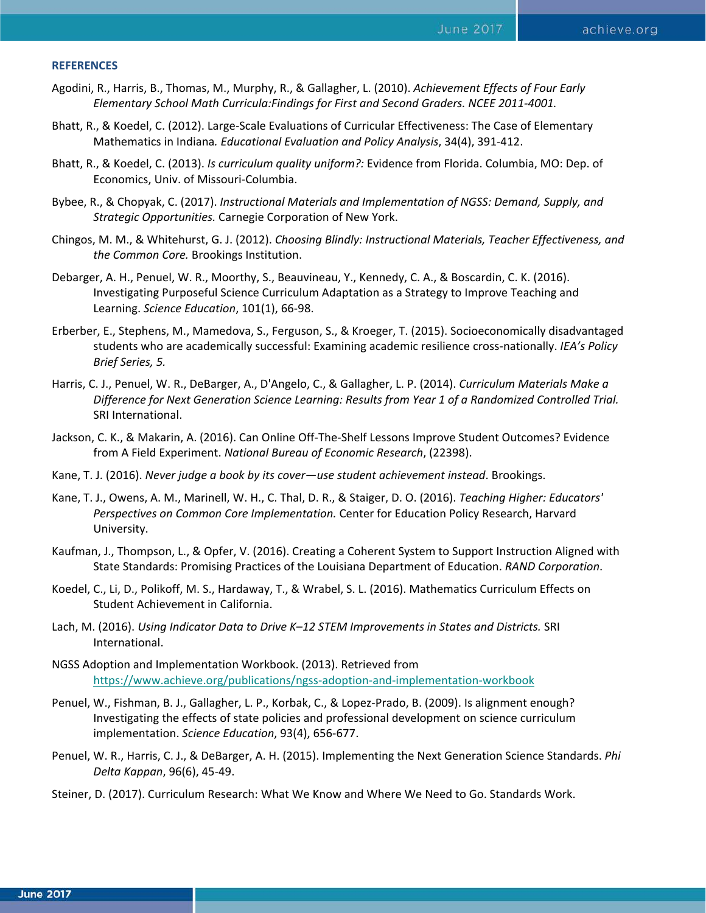#### **REFERENCES**

- Agodini, R., Harris, B., Thomas, M., Murphy, R., & Gallagher, L. (2010). *Achievement Effects of Four Early Elementary School Math Curricula:Findings for First and Second Graders. NCEE 2011-4001.*
- Bhatt, R., & Koedel, C. (2012). Large-Scale Evaluations of Curricular Effectiveness: The Case of Elementary Mathematics in Indiana*. Educational Evaluation and Policy Analysis*, 34(4), 391-412.
- Bhatt, R., & Koedel, C. (2013). *Is curriculum quality uniform?:* Evidence from Florida. Columbia, MO: Dep. of Economics, Univ. of Missouri-Columbia.
- Bybee, R., & Chopyak, C. (2017). *Instructional Materials and Implementation of NGSS: Demand, Supply, and Strategic Opportunities.* Carnegie Corporation of New York.
- Chingos, M. M., & Whitehurst, G. J. (2012). *Choosing Blindly: Instructional Materials, Teacher Effectiveness, and the Common Core.* Brookings Institution.
- Debarger, A. H., Penuel, W. R., Moorthy, S., Beauvineau, Y., Kennedy, C. A., & Boscardin, C. K. (2016). Investigating Purposeful Science Curriculum Adaptation as a Strategy to Improve Teaching and Learning. *Science Education*, 101(1), 66-98.
- Erberber, E., Stephens, M., Mamedova, S., Ferguson, S., & Kroeger, T. (2015). Socioeconomically disadvantaged students who are academically successful: Examining academic resilience cross-nationally. *IEA's Policy Brief Series, 5.*
- Harris, C. J., Penuel, W. R., DeBarger, A., D'Angelo, C., & Gallagher, L. P. (2014). *Curriculum Materials Make a Difference for Next Generation Science Learning: Results from Year 1 of a Randomized Controlled Trial.*  SRI International.
- Jackson, C. K., & Makarin, A. (2016). Can Online Off-The-Shelf Lessons Improve Student Outcomes? Evidence from A Field Experiment. *National Bureau of Economic Research*, (22398).
- Kane, T. J. (2016). *Never judge a book by its cover—use student achievement instead*. Brookings.
- Kane, T. J., Owens, A. M., Marinell, W. H., C. Thal, D. R., & Staiger, D. O. (2016). *Teaching Higher: Educators' Perspectives on Common Core Implementation.* Center for Education Policy Research, Harvard University.
- Kaufman, J., Thompson, L., & Opfer, V. (2016). Creating a Coherent System to Support Instruction Aligned with State Standards: Promising Practices of the Louisiana Department of Education. *RAND Corporation*.
- Koedel, C., Li, D., Polikoff, M. S., Hardaway, T., & Wrabel, S. L. (2016). Mathematics Curriculum Effects on Student Achievement in California.
- Lach, M. (2016). *Using Indicator Data to Drive K–12 STEM Improvements in States and Districts.* SRI International.
- NGSS Adoption and Implementation Workbook. (2013). Retrieved from <https://www.achieve.org/publications/ngss-adoption-and-implementation-workbook>
- Penuel, W., Fishman, B. J., Gallagher, L. P., Korbak, C., & Lopez-Prado, B. (2009). Is alignment enough? Investigating the effects of state policies and professional development on science curriculum implementation. *Science Education*, 93(4), 656-677.
- Penuel, W. R., Harris, C. J., & DeBarger, A. H. (2015). Implementing the Next Generation Science Standards. *Phi Delta Kappan*, 96(6), 45-49.
- Steiner, D. (2017). Curriculum Research: What We Know and Where We Need to Go. Standards Work.